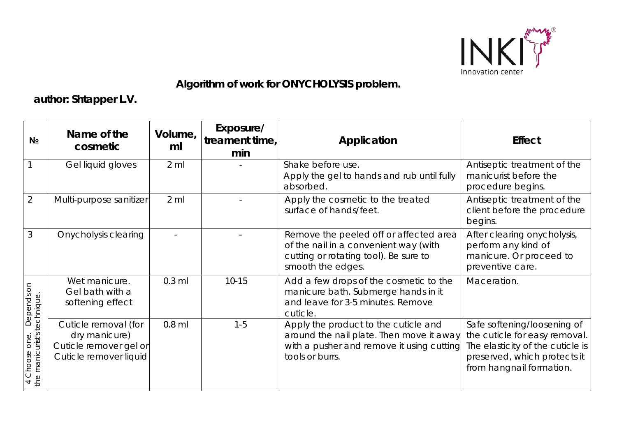

## **Algorithm of work for ONYCHOLYSIS problem.**

**author: Shtapper L.V.**

| N <sub>2</sub>                                                                                        | Name of the<br>cosmetic                                                                   | Volume,<br>ml   | Exposure/<br>treament time,<br>min | Application                                                                                                                                      | <b>Effect</b>                                                                                                                                                |
|-------------------------------------------------------------------------------------------------------|-------------------------------------------------------------------------------------------|-----------------|------------------------------------|--------------------------------------------------------------------------------------------------------------------------------------------------|--------------------------------------------------------------------------------------------------------------------------------------------------------------|
|                                                                                                       | Gel liquid gloves                                                                         | $2$ ml          |                                    | Shake before use.<br>Apply the gel to hands and rub until fully<br>absorbed.                                                                     | Antiseptic treatment of the<br>manicurist before the<br>procedure begins.                                                                                    |
| $\overline{2}$                                                                                        | Multi-purpose sanitizer                                                                   | $2 \mathrm{ml}$ |                                    | Apply the cosmetic to the treated<br>surface of hands/feet.                                                                                      | Antiseptic treatment of the<br>client before the procedure<br>begins.                                                                                        |
| 3                                                                                                     | <b>Onycholysis clearing</b>                                                               |                 |                                    | Remove the peeled off or affected area<br>of the nail in a convenient way (with<br>cutting or rotating tool). Be sure to<br>smooth the edges.    | After clearing onycholysis,<br>perform any kind of<br>manicure. Or proceed to<br>preventive care.                                                            |
| $\overline{5}$<br>Depends<br>the manicurist's technique<br>one.<br>Choose<br>$\overline{\phantom{a}}$ | Wet manicure.<br>Gel bath with a<br>softening effect                                      | $0.3$ ml        | $10 - 15$                          | Add a few drops of the cosmetic to the<br>manicure bath. Submerge hands in it<br>and leave for 3-5 minutes. Remove<br>cuticle.                   | Maceration.                                                                                                                                                  |
|                                                                                                       | Cuticle removal (for<br>dry manicure)<br>Cuticle remover gel or<br>Cuticle remover liquid | $0.8$ ml        | $1 - 5$                            | Apply the product to the cuticle and<br>around the nail plate. Then move it away<br>with a pusher and remove it using cutting<br>tools or burrs. | Safe softening/loosening of<br>the cuticle for easy removal.<br>The elasticity of the cuticle is<br>preserved, which protects it<br>from hangnail formation. |